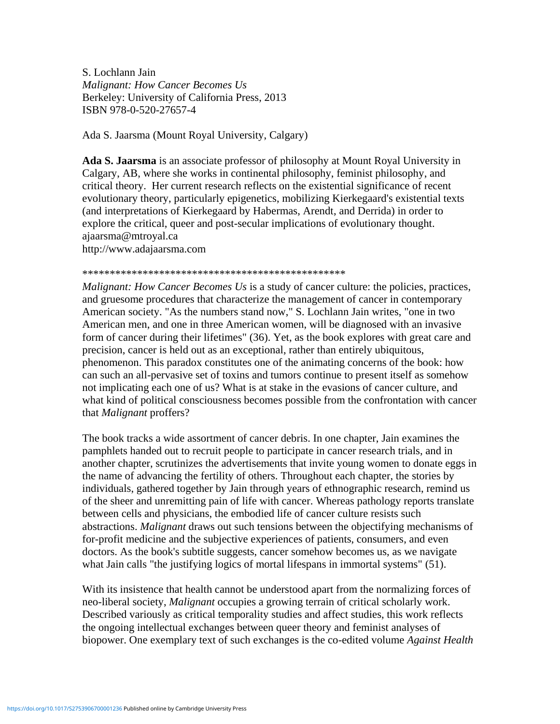S. Lochlann Jain *Malignant: How Cancer Becomes Us* Berkeley: University of California Press, 2013 ISBN 978-0-520-27657-4

Ada S. Jaarsma (Mount Royal University, Calgary)

**Ada S. Jaarsma** is an associate professor of philosophy at Mount Royal University in Calgary, AB, where she works in continental philosophy, feminist philosophy, and critical theory. Her current research reflects on the existential significance of recent evolutionary theory, particularly epigenetics, mobilizing Kierkegaard's existential texts (and interpretations of Kierkegaard by Habermas, Arendt, and Derrida) in order to explore the critical, queer and post-secular implications of evolutionary thought. ajaarsma@mtroyal.ca http://www.adajaarsma.com

## \*\*\*\*\*\*\*\*\*\*\*\*\*\*\*\*\*\*\*\*\*\*\*\*\*\*\*\*\*\*\*\*\*\*\*\*\*\*\*\*\*\*\*\*\*\*\*\*

*Malignant: How Cancer Becomes Us* is a study of cancer culture: the policies, practices, and gruesome procedures that characterize the management of cancer in contemporary American society. "As the numbers stand now," S. Lochlann Jain writes, "one in two American men, and one in three American women, will be diagnosed with an invasive form of cancer during their lifetimes" (36). Yet, as the book explores with great care and precision, cancer is held out as an exceptional, rather than entirely ubiquitous, phenomenon. This paradox constitutes one of the animating concerns of the book: how can such an all-pervasive set of toxins and tumors continue to present itself as somehow not implicating each one of us? What is at stake in the evasions of cancer culture, and what kind of political consciousness becomes possible from the confrontation with cancer that *Malignant* proffers?

The book tracks a wide assortment of cancer debris. In one chapter, Jain examines the pamphlets handed out to recruit people to participate in cancer research trials, and in another chapter, scrutinizes the advertisements that invite young women to donate eggs in the name of advancing the fertility of others. Throughout each chapter, the stories by individuals, gathered together by Jain through years of ethnographic research, remind us of the sheer and unremitting pain of life with cancer. Whereas pathology reports translate between cells and physicians, the embodied life of cancer culture resists such abstractions. *Malignant* draws out such tensions between the objectifying mechanisms of for-profit medicine and the subjective experiences of patients, consumers, and even doctors. As the book's subtitle suggests, cancer somehow becomes us, as we navigate what Jain calls "the justifying logics of mortal lifespans in immortal systems" (51).

With its insistence that health cannot be understood apart from the normalizing forces of neo-liberal society, *Malignant* occupies a growing terrain of critical scholarly work. Described variously as critical temporality studies and affect studies, this work reflects the ongoing intellectual exchanges between queer theory and feminist analyses of biopower. One exemplary text of such exchanges is the co-edited volume *Against Health*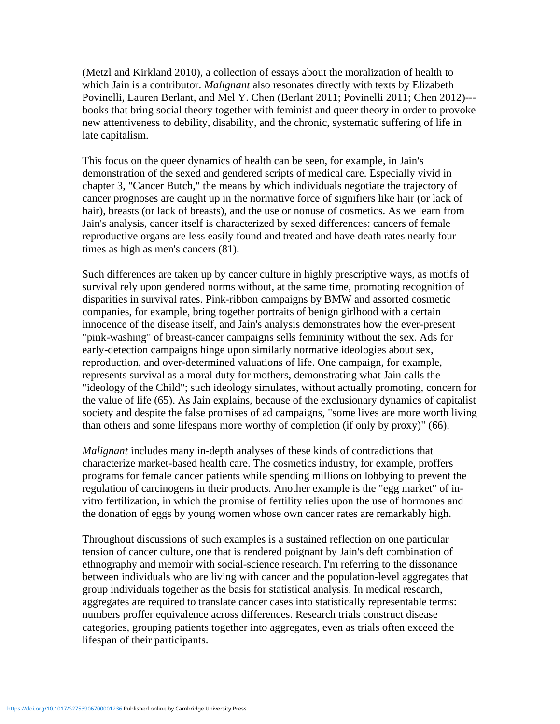(Metzl and Kirkland 2010), a collection of essays about the moralization of health to which Jain is a contributor. *Malignant* also resonates directly with texts by Elizabeth Povinelli, Lauren Berlant, and Mel Y. Chen (Berlant 2011; Povinelli 2011; Chen 2012)-- books that bring social theory together with feminist and queer theory in order to provoke new attentiveness to debility, disability, and the chronic, systematic suffering of life in late capitalism.

This focus on the queer dynamics of health can be seen, for example, in Jain's demonstration of the sexed and gendered scripts of medical care. Especially vivid in chapter 3, "Cancer Butch," the means by which individuals negotiate the trajectory of cancer prognoses are caught up in the normative force of signifiers like hair (or lack of hair), breasts (or lack of breasts), and the use or nonuse of cosmetics. As we learn from Jain's analysis, cancer itself is characterized by sexed differences: cancers of female reproductive organs are less easily found and treated and have death rates nearly four times as high as men's cancers (81).

Such differences are taken up by cancer culture in highly prescriptive ways, as motifs of survival rely upon gendered norms without, at the same time, promoting recognition of disparities in survival rates. Pink-ribbon campaigns by BMW and assorted cosmetic companies, for example, bring together portraits of benign girlhood with a certain innocence of the disease itself, and Jain's analysis demonstrates how the ever-present "pink-washing" of breast-cancer campaigns sells femininity without the sex. Ads for early-detection campaigns hinge upon similarly normative ideologies about sex, reproduction, and over-determined valuations of life. One campaign, for example, represents survival as a moral duty for mothers, demonstrating what Jain calls the "ideology of the Child"; such ideology simulates, without actually promoting, concern for the value of life (65). As Jain explains, because of the exclusionary dynamics of capitalist society and despite the false promises of ad campaigns, "some lives are more worth living than others and some lifespans more worthy of completion (if only by proxy)" (66).

*Malignant* includes many in-depth analyses of these kinds of contradictions that characterize market-based health care. The cosmetics industry, for example, proffers programs for female cancer patients while spending millions on lobbying to prevent the regulation of carcinogens in their products. Another example is the "egg market" of invitro fertilization, in which the promise of fertility relies upon the use of hormones and the donation of eggs by young women whose own cancer rates are remarkably high.

Throughout discussions of such examples is a sustained reflection on one particular tension of cancer culture, one that is rendered poignant by Jain's deft combination of ethnography and memoir with social-science research. I'm referring to the dissonance between individuals who are living with cancer and the population-level aggregates that group individuals together as the basis for statistical analysis. In medical research, aggregates are required to translate cancer cases into statistically representable terms: numbers proffer equivalence across differences. Research trials construct disease categories, grouping patients together into aggregates, even as trials often exceed the lifespan of their participants.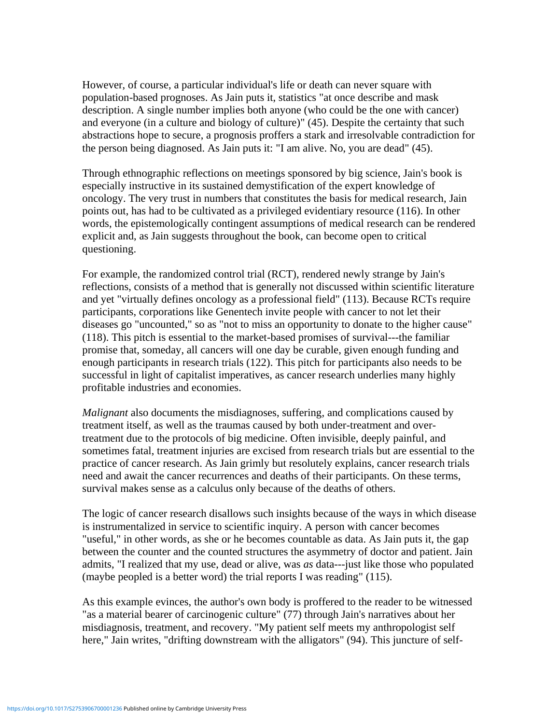However, of course, a particular individual's life or death can never square with population-based prognoses. As Jain puts it, statistics "at once describe and mask description. A single number implies both anyone (who could be the one with cancer) and everyone (in a culture and biology of culture)" (45). Despite the certainty that such abstractions hope to secure, a prognosis proffers a stark and irresolvable contradiction for the person being diagnosed. As Jain puts it: "I am alive. No, you are dead" (45).

Through ethnographic reflections on meetings sponsored by big science, Jain's book is especially instructive in its sustained demystification of the expert knowledge of oncology. The very trust in numbers that constitutes the basis for medical research, Jain points out, has had to be cultivated as a privileged evidentiary resource (116). In other words, the epistemologically contingent assumptions of medical research can be rendered explicit and, as Jain suggests throughout the book, can become open to critical questioning.

For example, the randomized control trial (RCT), rendered newly strange by Jain's reflections, consists of a method that is generally not discussed within scientific literature and yet "virtually defines oncology as a professional field" (113). Because RCTs require participants, corporations like Genentech invite people with cancer to not let their diseases go "uncounted," so as "not to miss an opportunity to donate to the higher cause" (118). This pitch is essential to the market-based promises of survival---the familiar promise that, someday, all cancers will one day be curable, given enough funding and enough participants in research trials (122). This pitch for participants also needs to be successful in light of capitalist imperatives, as cancer research underlies many highly profitable industries and economies.

*Malignant* also documents the misdiagnoses, suffering, and complications caused by treatment itself, as well as the traumas caused by both under-treatment and overtreatment due to the protocols of big medicine. Often invisible, deeply painful, and sometimes fatal, treatment injuries are excised from research trials but are essential to the practice of cancer research. As Jain grimly but resolutely explains, cancer research trials need and await the cancer recurrences and deaths of their participants. On these terms, survival makes sense as a calculus only because of the deaths of others.

The logic of cancer research disallows such insights because of the ways in which disease is instrumentalized in service to scientific inquiry. A person with cancer becomes "useful," in other words, as she or he becomes countable as data. As Jain puts it, the gap between the counter and the counted structures the asymmetry of doctor and patient. Jain admits, "I realized that my use, dead or alive, was *as* data---just like those who populated (maybe peopled is a better word) the trial reports I was reading" (115).

As this example evinces, the author's own body is proffered to the reader to be witnessed "as a material bearer of carcinogenic culture" (77) through Jain's narratives about her misdiagnosis, treatment, and recovery. "My patient self meets my anthropologist self here," Jain writes, "drifting downstream with the alligators" (94). This juncture of self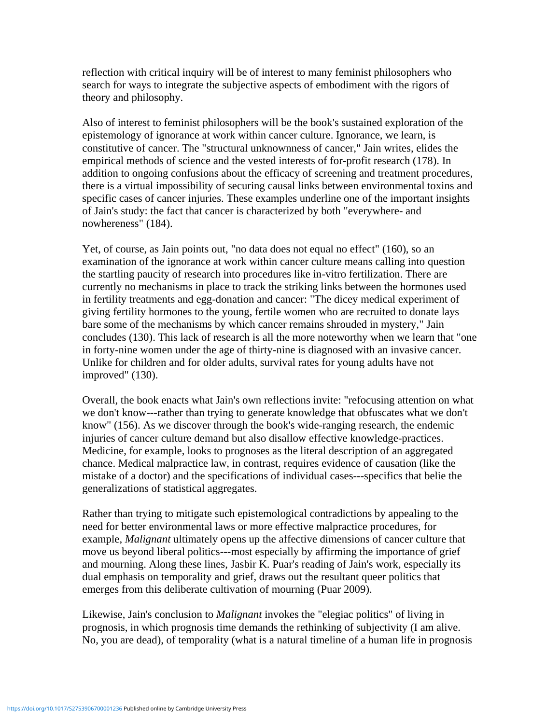reflection with critical inquiry will be of interest to many feminist philosophers who search for ways to integrate the subjective aspects of embodiment with the rigors of theory and philosophy.

Also of interest to feminist philosophers will be the book's sustained exploration of the epistemology of ignorance at work within cancer culture. Ignorance, we learn, is constitutive of cancer. The "structural unknownness of cancer," Jain writes, elides the empirical methods of science and the vested interests of for-profit research (178). In addition to ongoing confusions about the efficacy of screening and treatment procedures, there is a virtual impossibility of securing causal links between environmental toxins and specific cases of cancer injuries. These examples underline one of the important insights of Jain's study: the fact that cancer is characterized by both "everywhere- and nowhereness" (184).

Yet, of course, as Jain points out, "no data does not equal no effect" (160), so an examination of the ignorance at work within cancer culture means calling into question the startling paucity of research into procedures like in-vitro fertilization. There are currently no mechanisms in place to track the striking links between the hormones used in fertility treatments and egg-donation and cancer: "The dicey medical experiment of giving fertility hormones to the young, fertile women who are recruited to donate lays bare some of the mechanisms by which cancer remains shrouded in mystery," Jain concludes (130). This lack of research is all the more noteworthy when we learn that "one in forty-nine women under the age of thirty-nine is diagnosed with an invasive cancer. Unlike for children and for older adults, survival rates for young adults have not improved" (130).

Overall, the book enacts what Jain's own reflections invite: "refocusing attention on what we don't know---rather than trying to generate knowledge that obfuscates what we don't know" (156). As we discover through the book's wide-ranging research, the endemic injuries of cancer culture demand but also disallow effective knowledge-practices. Medicine, for example, looks to prognoses as the literal description of an aggregated chance. Medical malpractice law, in contrast, requires evidence of causation (like the mistake of a doctor) and the specifications of individual cases---specifics that belie the generalizations of statistical aggregates.

Rather than trying to mitigate such epistemological contradictions by appealing to the need for better environmental laws or more effective malpractice procedures, for example, *Malignant* ultimately opens up the affective dimensions of cancer culture that move us beyond liberal politics---most especially by affirming the importance of grief and mourning. Along these lines, Jasbir K. Puar's reading of Jain's work, especially its dual emphasis on temporality and grief, draws out the resultant queer politics that emerges from this deliberate cultivation of mourning (Puar 2009).

Likewise, Jain's conclusion to *Malignant* invokes the "elegiac politics" of living in prognosis, in which prognosis time demands the rethinking of subjectivity (I am alive. No, you are dead), of temporality (what is a natural timeline of a human life in prognosis